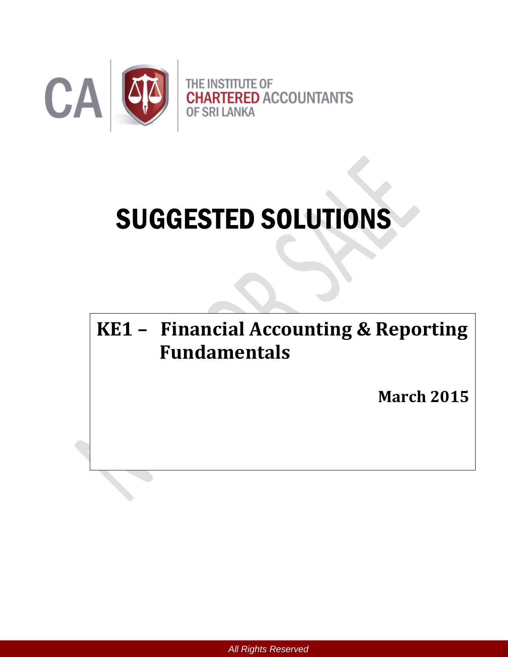

# SUGGESTED SOLUTIONS

# **KE1 – Financial Accounting & Reporting Fundamentals**

**March 2015**

*All Rights Reserved*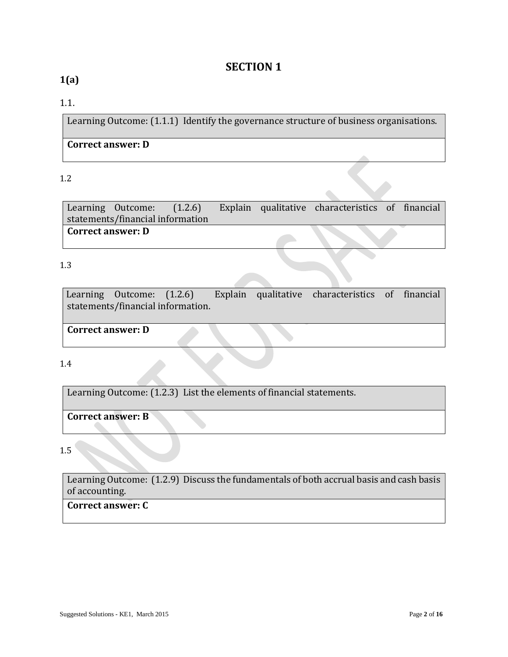# **SECTION 1**

# **1(a)**

#### 1.1.

Learning Outcome: (1.1.1) Identify the governance structure of business organisations.

#### **Correct answer: D**

#### 1.2

Learning Outcome: (1.2.6) Explain qualitative characteristics of financial statements/financial information **Correct answer: D** 

#### 1.3

Learning Outcome: (1.2.6) Explain qualitative characteristics of financial statements/financial information.

**Correct answer: D** 

#### 1.4

Learning Outcome: (1.2.3) List the elements of financial statements.

**Correct answer: B**

#### 1.5

Learning Outcome: (1.2.9) Discuss the fundamentals of both accrual basis and cash basis of accounting.

**Correct answer: C**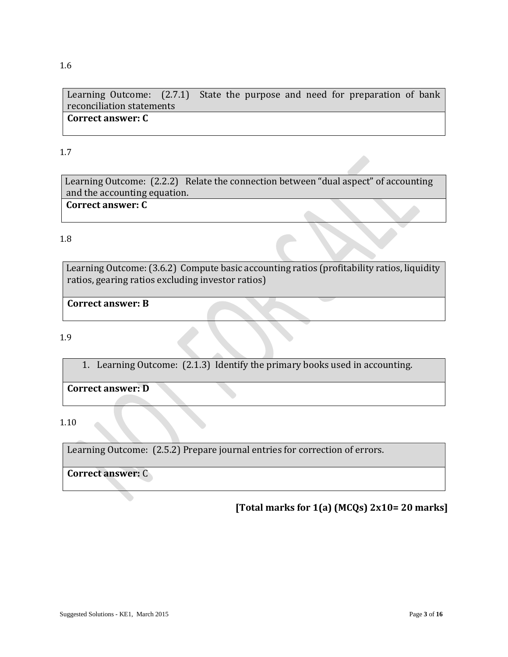Learning Outcome: (2.7.1) State the purpose and need for preparation of bank reconciliation statements **Correct answer: C**

1.7

Learning Outcome: (2.2.2) Relate the connection between "dual aspect" of accounting and the accounting equation. **Correct answer: C**

1.8

Learning Outcome: (3.6.2) Compute basic accounting ratios (profitability ratios, liquidity ratios, gearing ratios excluding investor ratios)

**Correct answer: B**

1.9

1. Learning Outcome: (2.1.3) Identify the primary books used in accounting.

**Correct answer: D** 

1.10

Learning Outcome: (2.5.2) Prepare journal entries for correction of errors.

**Correct answer:** C

**[Total marks for 1(a) (MCQs) 2x10= 20 marks]**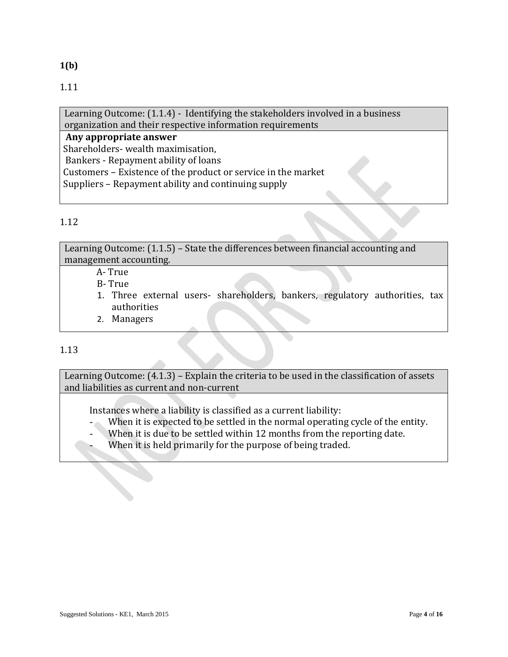**1(b)** 

Learning Outcome: (1.1.4) - Identifying the stakeholders involved in a business organization and their respective information requirements

**Any appropriate answer**

Shareholders- wealth maximisation,

Bankers - Repayment ability of loans

Customers – Existence of the product or service in the market

Suppliers – Repayment ability and continuing supply

# 1.12

Learning Outcome: (1.1.5) – State the differences between financial accounting and management accounting.

- A- True
- B- True
- 1. Three external users- shareholders, bankers, regulatory authorities, tax authorities
- 2. Managers

# 1.13

Learning Outcome: (4.1.3) – Explain the criteria to be used in the classification of assets and liabilities as current and non-current

Instances where a liability is classified as a current liability:

- When it is expected to be settled in the normal operating cycle of the entity.
- When it is due to be settled within 12 months from the reporting date.
- When it is held primarily for the purpose of being traded.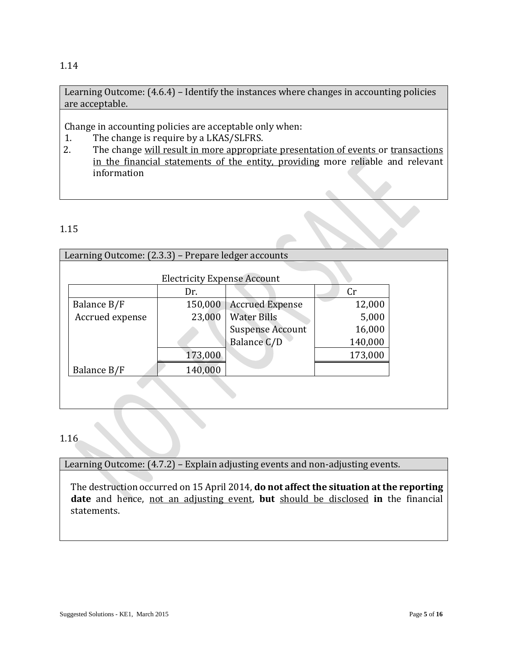#### 1.14

Learning Outcome: (4.6.4) – Identify the instances where changes in accounting policies are acceptable.

Change in accounting policies are acceptable only when:

- 1. The change is require by a LKAS/SLFRS.
- 2. The change will result in more appropriate presentation of events or transactions in the financial statements of the entity, providing more reliable and relevant information

#### 1.15

| Learning Outcome: (2.3.3) - Prepare ledger accounts |                                    |                         |         |  |  |  |
|-----------------------------------------------------|------------------------------------|-------------------------|---------|--|--|--|
|                                                     |                                    |                         |         |  |  |  |
|                                                     | <b>Electricity Expense Account</b> |                         |         |  |  |  |
|                                                     | Dr.                                |                         | Cr      |  |  |  |
| Balance B/F                                         | 150,000                            | <b>Accrued Expense</b>  | 12,000  |  |  |  |
| Accrued expense                                     | 23,000                             | <b>Water Bills</b>      | 5,000   |  |  |  |
|                                                     |                                    | <b>Suspense Account</b> | 16,000  |  |  |  |
|                                                     |                                    | Balance C/D             | 140,000 |  |  |  |
|                                                     | 173,000                            |                         | 173,000 |  |  |  |
| Balance B/F                                         | 140,000                            |                         |         |  |  |  |
|                                                     |                                    |                         |         |  |  |  |
|                                                     |                                    |                         |         |  |  |  |

#### 1.16

Learning Outcome: (4.7.2) – Explain adjusting events and non-adjusting events.

The destruction occurred on 15 April 2014, **do not affect the situation at the reporting date** and hence, not an adjusting event, **but** should be disclosed **in** the financial statements.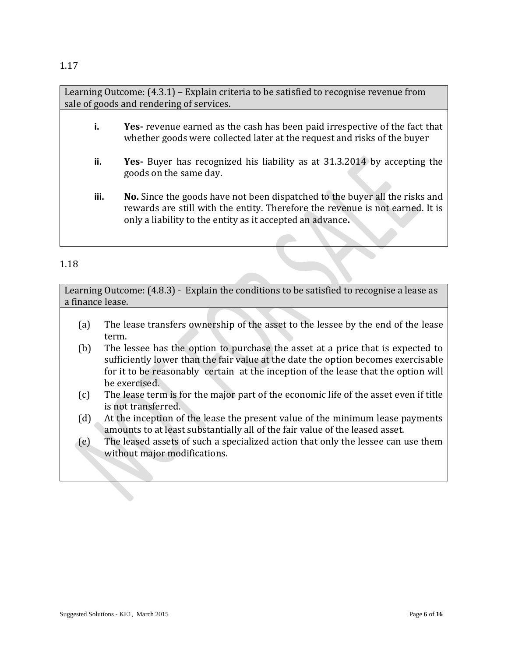Learning Outcome: (4.3.1) – Explain criteria to be satisfied to recognise revenue from sale of goods and rendering of services.

- **i. Yes-** revenue earned as the cash has been paid irrespective of the fact that whether goods were collected later at the request and risks of the buyer
- **ii. Yes-** Buyer has recognized his liability as at 31.3.2014 by accepting the goods on the same day.
- **iii. No.** Since the goods have not been dispatched to the buyer all the risks and rewards are still with the entity. Therefore the revenue is not earned. It is only a liability to the entity as it accepted an advance**.**

#### 1.18

Learning Outcome: (4.8.3) - Explain the conditions to be satisfied to recognise a lease as a finance lease.

- (a) The lease transfers ownership of the asset to the lessee by the end of the lease term.
- (b) The lessee has the option to purchase the asset at a price that is expected to sufficiently lower than the fair value at the date the option becomes exercisable for it to be reasonably certain at the inception of the lease that the option will be exercised.
- (c) The lease term is for the major part of the economic life of the asset even if title is not transferred.
- (d) At the inception of the lease the present value of the minimum lease payments amounts to at least substantially all of the fair value of the leased asset.
- (e) The leased assets of such a specialized action that only the lessee can use them without major modifications.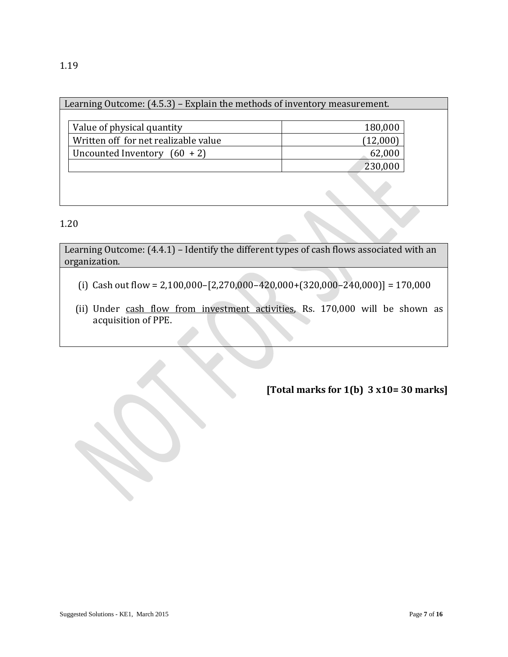| Learning Outcome: (4.5.3) – Explain the methods of inventory measurement. |          |  |  |
|---------------------------------------------------------------------------|----------|--|--|
|                                                                           |          |  |  |
| Value of physical quantity                                                | 180,000  |  |  |
| Written off for net realizable value                                      | (12,000) |  |  |
| Uncounted Inventory $(60 + 2)$                                            | 62,000   |  |  |
|                                                                           | 230,000  |  |  |
|                                                                           |          |  |  |

1.20

Learning Outcome: (4.4.1) – Identify the different types of cash flows associated with an organization.

- (i) Cash out flow =  $2,100,000 [2,270,000 420,000 + (320,000 240,000)] = 170,000$
- (ii) Under cash flow from investment activities, Rs. 170,000 will be shown as acquisition of PPE.

**[Total marks for 1(b) 3 x10= 30 marks]**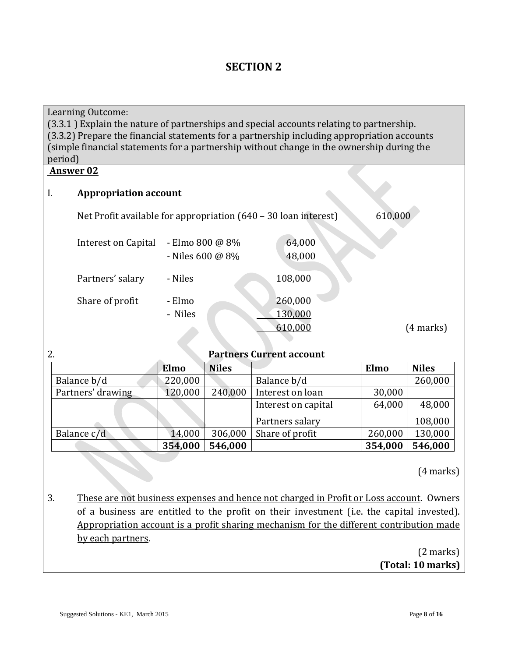# **SECTION 2**

Learning Outcome: (3.3.1 ) Explain the nature of partnerships and special accounts relating to partnership. (3.3.2) Prepare the financial statements for a partnership including appropriation accounts (simple financial statements for a partnership without change in the ownership during the period)

#### **Answer 02**

#### I. **Appropriation account**

| Net Profit available for appropriation $(640 - 30 \text{ loan interest})$ |                                       | 610,000                       |           |
|---------------------------------------------------------------------------|---------------------------------------|-------------------------------|-----------|
| Interest on Capital                                                       | - Elmo 800 @ 8%<br>- Niles 600 $@$ 8% | 64,000<br>48,000              |           |
| Partners' salary                                                          | - Niles                               | 108,000                       |           |
| Share of profit                                                           | - Elmo<br>- Niles                     | 260,000<br>130,000<br>610,000 | (4 marks) |

#### 2. **Partners Current account**

|                   | Elmo    | <b>Niles</b> |                     | Elmo    | <b>Niles</b> |
|-------------------|---------|--------------|---------------------|---------|--------------|
| Balance b/d       | 220,000 |              | Balance b/d         |         | 260,000      |
| Partners' drawing | 120,000 | 240,000      | Interest on loan    | 30,000  |              |
|                   |         |              | Interest on capital | 64,000  | 48,000       |
|                   |         |              | Partners salary     |         | 108,000      |
| Balance c/d       | 14,000  | 306,000      | Share of profit     | 260,000 | 130,000      |
|                   | 354,000 | 546,000      |                     | 354,000 | 546,000      |

(4 marks)

3. These are not business expenses and hence not charged in Profit or Loss account. Owners of a business are entitled to the profit on their investment (i.e. the capital invested). Appropriation account is a profit sharing mechanism for the different contribution made by each partners.

> (2 marks) **(Total: 10 marks)**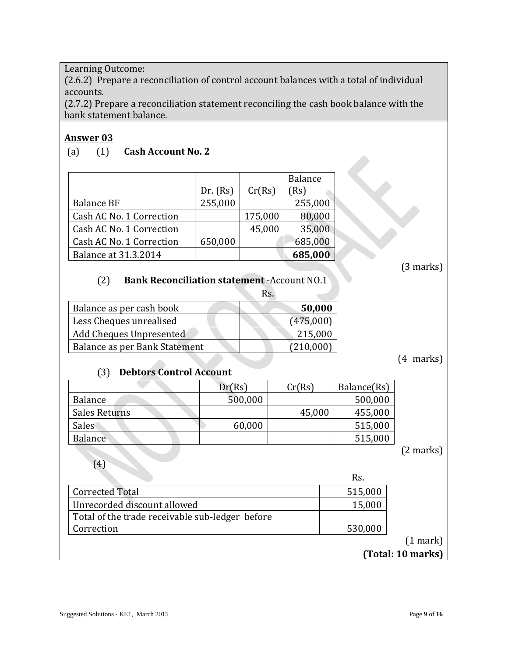Learning Outcome:

(2.6.2) Prepare a reconciliation of control account balances with a total of individual accounts.

(2.7.2) Prepare a reconciliation statement reconciling the cash book balance with the bank statement balance.

#### **Answer 03**

#### (a) (1) **Cash Account No. 2**

|                             |          |         | <b>Balance</b> |
|-----------------------------|----------|---------|----------------|
|                             | Dr. (Rs) | Cr(Rs)  | Rs)            |
| <b>Balance BF</b>           | 255,000  |         | 255,000        |
| Cash AC No. 1 Correction    |          | 175,000 | 80,000         |
| Cash AC No. 1 Correction    |          | 45,000  | 35,000         |
| Cash AC No. 1 Correction    | 650,000  |         | 685,000        |
| <b>Balance at 31.3.2014</b> |          |         | 685,000        |

(3 marks)

# (2) **Bank Reconciliation statement** -Account NO.1

|                               | Rs. |           |
|-------------------------------|-----|-----------|
| Balance as per cash book      |     | 50,000    |
| Less Cheques unrealised       |     | (475,000) |
| Add Cheques Unpresented       |     | 215,000   |
| Balance as per Bank Statement |     | (210,000) |

(4 marks)

# (3) **Debtors Control Account**

|                    | Dr(Rs)  | Cr(Rs) | Balance(Rs) |
|--------------------|---------|--------|-------------|
| Balance            | 500,000 |        | 500,000     |
| Sales Returns      |         | 45,000 | 455,000     |
| Sales <sup>®</sup> | 60,000  |        | 515,000     |
| Balance            |         |        | 515,000     |

(2 marks)

(4)

Rs.

|                                                 | .       |
|-------------------------------------------------|---------|
| <b>Corrected Total</b>                          | 515,000 |
| Unrecorded discount allowed                     | 15,000  |
| Total of the trade receivable sub-ledger before |         |
| Correction                                      | 530,000 |
|                                                 |         |

**(Total: 10 marks)**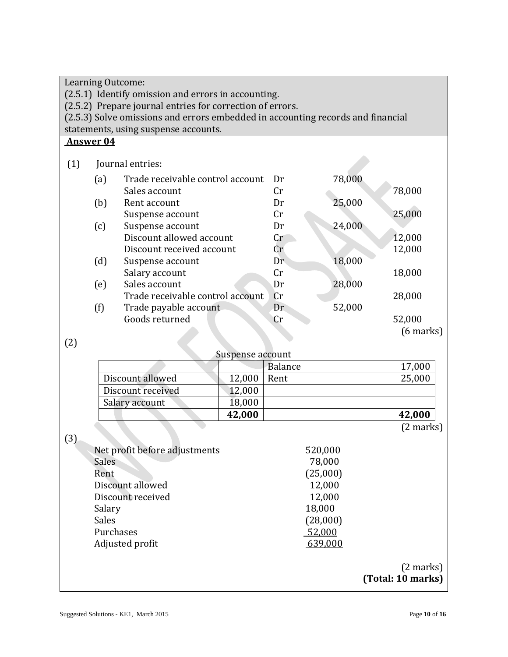| Learning Outcome:                                                               |                  |                                      |                  |         |          |                     |  |  |
|---------------------------------------------------------------------------------|------------------|--------------------------------------|------------------|---------|----------|---------------------|--|--|
| (2.5.1) Identify omission and errors in accounting.                             |                  |                                      |                  |         |          |                     |  |  |
| (2.5.2) Prepare journal entries for correction of errors.                       |                  |                                      |                  |         |          |                     |  |  |
| (2.5.3) Solve omissions and errors embedded in accounting records and financial |                  |                                      |                  |         |          |                     |  |  |
|                                                                                 |                  | statements, using suspense accounts. |                  |         |          |                     |  |  |
|                                                                                 | <b>Answer 04</b> |                                      |                  |         |          |                     |  |  |
|                                                                                 |                  |                                      |                  |         |          |                     |  |  |
| (1)                                                                             |                  | Journal entries:                     |                  |         |          |                     |  |  |
|                                                                                 | (a)              | Trade receivable control account     |                  | Dr      | 78,000   |                     |  |  |
|                                                                                 |                  | Sales account                        |                  | Cr      |          | 78,000              |  |  |
|                                                                                 | (b)              | Rent account                         |                  | Dr      | 25,000   |                     |  |  |
|                                                                                 |                  | Suspense account                     |                  | Cr      |          | 25,000              |  |  |
|                                                                                 | (c)              | Suspense account                     |                  | Dr      | 24,000   |                     |  |  |
|                                                                                 |                  | Discount allowed account             |                  | Cr      |          | 12,000              |  |  |
|                                                                                 |                  | Discount received account            |                  | Cr      |          | 12,000              |  |  |
|                                                                                 | (d)              | Suspense account                     |                  | Dr      | 18,000   |                     |  |  |
|                                                                                 |                  | Salary account                       |                  | Cr      |          | 18,000              |  |  |
|                                                                                 | (e)              | Sales account                        |                  | Dr      | 28,000   |                     |  |  |
|                                                                                 |                  | Trade receivable control account     |                  | Cr      |          | 28,000              |  |  |
|                                                                                 | (f)              | Trade payable account                |                  | Dr      | 52,000   |                     |  |  |
|                                                                                 |                  | Goods returned                       |                  | Cr      |          | 52,000              |  |  |
|                                                                                 |                  |                                      |                  |         |          | $(6$ marks)         |  |  |
| (2)                                                                             |                  |                                      |                  |         |          |                     |  |  |
|                                                                                 |                  |                                      | Suspense account |         |          |                     |  |  |
|                                                                                 |                  |                                      |                  | Balance |          | 17,000              |  |  |
|                                                                                 |                  | Discount allowed                     | 12,000           | Rent    |          | 25,000              |  |  |
|                                                                                 |                  | Discount received                    | 12,000           |         |          |                     |  |  |
|                                                                                 |                  | Salary account                       | 18,000           |         |          |                     |  |  |
|                                                                                 |                  |                                      | 42,000           |         |          | 42,000              |  |  |
|                                                                                 |                  |                                      |                  |         |          | $(2 \text{ marks})$ |  |  |
| (3)                                                                             |                  |                                      |                  |         |          |                     |  |  |
|                                                                                 |                  | Net profit before adjustments        |                  |         | 520,000  |                     |  |  |
|                                                                                 | <b>Sales</b>     |                                      |                  |         | 78,000   |                     |  |  |
|                                                                                 | Rent             |                                      |                  |         | (25,000) |                     |  |  |
|                                                                                 |                  | Discount allowed                     |                  |         | 12,000   |                     |  |  |
|                                                                                 |                  | Discount received                    |                  |         | 12,000   |                     |  |  |
|                                                                                 | Salary           |                                      |                  |         | 18,000   |                     |  |  |
|                                                                                 | <b>Sales</b>     |                                      |                  |         | (28,000) |                     |  |  |
|                                                                                 | Purchases        |                                      |                  |         | 52,000   |                     |  |  |
|                                                                                 |                  | Adjusted profit                      |                  |         | 639,000  |                     |  |  |
|                                                                                 |                  |                                      |                  |         |          |                     |  |  |
|                                                                                 |                  |                                      |                  |         |          | $(2 \text{ marks})$ |  |  |
|                                                                                 |                  |                                      |                  |         |          | (Total: 10 marks)   |  |  |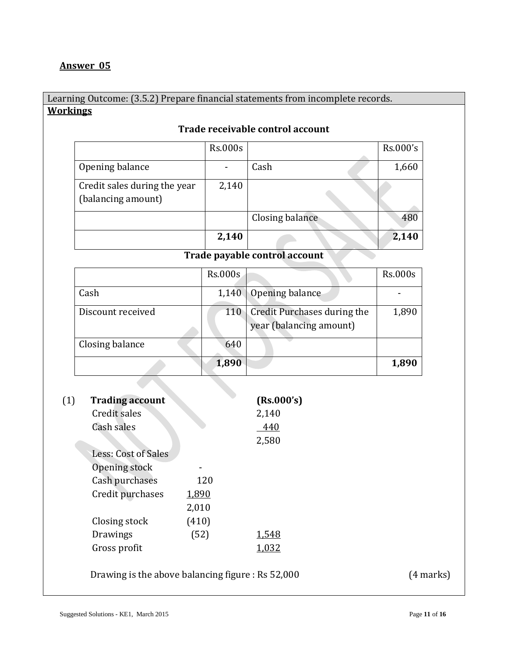#### **Answer 05**

#### Learning Outcome: (3.5.2) Prepare financial statements from incomplete records. **Workings**

|                                                    | <b>Rs.000s</b> |                 | Rs.000's |
|----------------------------------------------------|----------------|-----------------|----------|
| Opening balance                                    |                | Cash            | 1,660    |
| Credit sales during the year<br>(balancing amount) | 2,140          |                 |          |
|                                                    |                | Closing balance | 480      |
|                                                    | 2,140          |                 | 2,140    |

#### **Trade receivable control account**

#### **Trade payable control account**

|                   | Rs.000s |                                                        | <b>Rs.000s</b> |
|-------------------|---------|--------------------------------------------------------|----------------|
| Cash              | 1,140   | Opening balance                                        |                |
| Discount received | 110     | Credit Purchases during the<br>year (balancing amount) | 1,890          |
| Closing balance   | 640     |                                                        |                |
|                   | 1,890   |                                                        | 1,890          |

| (1) | <b>Trading account</b> |       | (Rs.000's) |
|-----|------------------------|-------|------------|
|     | Credit sales           |       | 2,140      |
|     | Cash sales             |       | 440        |
|     |                        |       | 2,580      |
|     | Less: Cost of Sales    |       |            |
|     | Opening stock          |       |            |
|     | Cash purchases         | 120   |            |
|     | Credit purchases       | 1,890 |            |
|     |                        | 2,010 |            |
|     | Closing stock          | (410) |            |
|     | Drawings               | (52)  | 1,548      |
|     | Gross profit           |       | 1,032      |
|     |                        |       |            |

Drawing is the above balancing figure : Rs 52,000 (4 marks)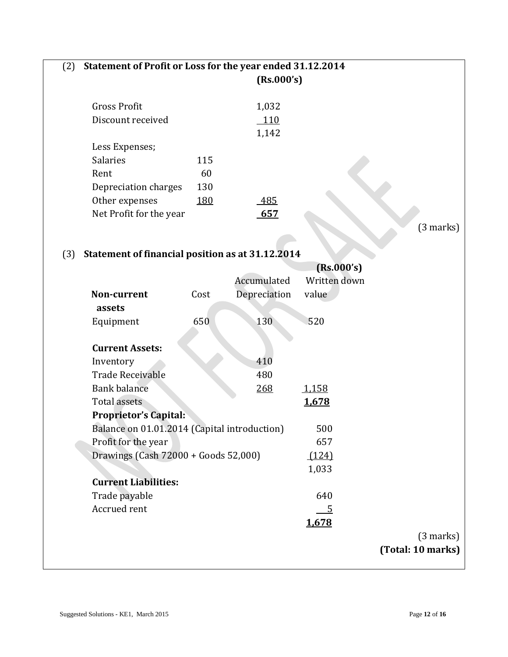#### (2) **Statement of Profit or Loss for the year ended 31.12.2014 (Rs.000's)**

|                         |             | LUS.VVV ST |  |
|-------------------------|-------------|------------|--|
| <b>Gross Profit</b>     |             | 1,032      |  |
| Discount received       |             | <b>110</b> |  |
|                         |             | 1,142      |  |
| Less Expenses;          |             |            |  |
| <b>Salaries</b>         | 115         |            |  |
| Rent                    | 60          |            |  |
| Depreciation charges    | 130         |            |  |
| Other expenses          | <u> 180</u> | 485        |  |
| Net Profit for the year |             | 657        |  |
|                         |             |            |  |

(3 marks)

# (3) **Statement of financial position as at 31.12.2014**

|                     |                                              |      | (Rs.000's)   |              |                     |
|---------------------|----------------------------------------------|------|--------------|--------------|---------------------|
|                     |                                              |      | Accumulated  | Written down |                     |
|                     | Non-current                                  | Cost | Depreciation | value        |                     |
| assets              |                                              |      |              |              |                     |
| Equipment           |                                              | 650  | 130          | 520          |                     |
|                     |                                              |      |              |              |                     |
|                     | <b>Current Assets:</b>                       |      |              |              |                     |
| Inventory           |                                              |      | 410          |              |                     |
|                     | Trade Receivable                             |      | 480          |              |                     |
|                     | <b>Bank balance</b>                          |      | <u>268</u>   | 1,158        |                     |
| <b>Total assets</b> |                                              |      |              | 1,678        |                     |
|                     | <b>Proprietor's Capital:</b>                 |      |              |              |                     |
|                     | Balance on 01.01.2014 (Capital introduction) |      |              | 500          |                     |
|                     | Profit for the year                          |      |              | 657          |                     |
|                     | Drawings (Cash 72000 + Goods 52,000)         |      |              | (124)        |                     |
|                     |                                              |      |              | 1,033        |                     |
|                     | <b>Current Liabilities:</b>                  |      |              |              |                     |
|                     | Trade payable                                |      |              | 640          |                     |
|                     | Accrued rent                                 |      |              | 5            |                     |
|                     |                                              |      |              | 1,678        |                     |
|                     |                                              |      |              |              | $(3 \text{ marks})$ |
|                     |                                              |      |              |              | (Total: 10 marks)   |
|                     |                                              |      |              |              |                     |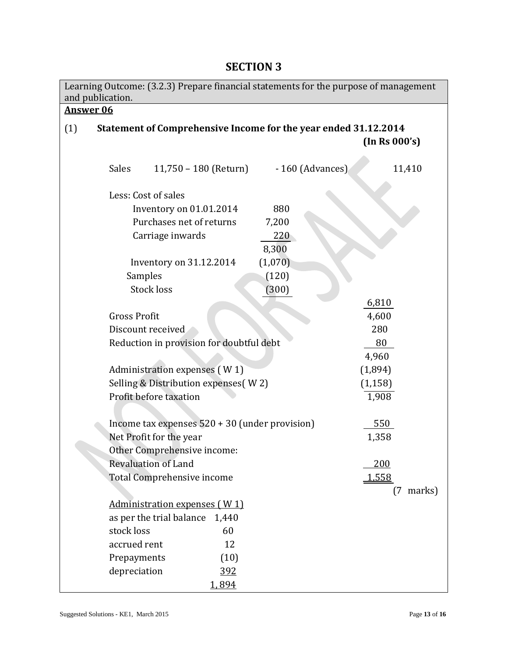| Learning Outcome: (3.2.3) Prepare financial statements for the purpose of management<br>and publication. |                                                                                  |                     |  |  |
|----------------------------------------------------------------------------------------------------------|----------------------------------------------------------------------------------|---------------------|--|--|
| <b>Answer 06</b>                                                                                         |                                                                                  |                     |  |  |
| (1)                                                                                                      | Statement of Comprehensive Income for the year ended 31.12.2014<br>(In Rs 000's) |                     |  |  |
| Sales<br>11,750 – 180 (Return)                                                                           | - 160 (Advances)                                                                 | 11,410              |  |  |
| Less: Cost of sales                                                                                      |                                                                                  |                     |  |  |
| Inventory on 01.01.2014                                                                                  | 880                                                                              |                     |  |  |
| Purchases net of returns                                                                                 | 7,200                                                                            |                     |  |  |
| Carriage inwards                                                                                         | 220<br>8,300                                                                     |                     |  |  |
| Inventory on 31.12.2014                                                                                  | (1,070)                                                                          |                     |  |  |
| Samples                                                                                                  | (120)                                                                            |                     |  |  |
| <b>Stock loss</b>                                                                                        | (300)                                                                            |                     |  |  |
|                                                                                                          |                                                                                  | 6,810               |  |  |
| <b>Gross Profit</b>                                                                                      |                                                                                  | 4,600               |  |  |
| Discount received                                                                                        |                                                                                  | 280                 |  |  |
| Reduction in provision for doubtful debt                                                                 |                                                                                  | 80                  |  |  |
|                                                                                                          |                                                                                  | 4,960               |  |  |
| Administration expenses (W1)                                                                             |                                                                                  | (1,894)             |  |  |
| Selling & Distribution expenses(W2)                                                                      |                                                                                  | (1, 158)            |  |  |
| Profit before taxation                                                                                   |                                                                                  | 1,908               |  |  |
|                                                                                                          |                                                                                  |                     |  |  |
| Income tax expenses $520 + 30$ (under provision)                                                         |                                                                                  | 550                 |  |  |
| Net Profit for the year                                                                                  |                                                                                  | 1,358               |  |  |
| Other Comprehensive income:                                                                              |                                                                                  |                     |  |  |
| <b>Revaluation of Land</b>                                                                               |                                                                                  | 200                 |  |  |
| Total Comprehensive income                                                                               |                                                                                  | 1,558               |  |  |
|                                                                                                          |                                                                                  | $(7 \text{ marks})$ |  |  |
| Administration expenses (W1)                                                                             |                                                                                  |                     |  |  |
| as per the trial balance<br>1,440                                                                        |                                                                                  |                     |  |  |
| stock loss<br>60                                                                                         |                                                                                  |                     |  |  |
| accrued rent<br>12                                                                                       |                                                                                  |                     |  |  |
| (10)<br>Prepayments                                                                                      |                                                                                  |                     |  |  |
| depreciation<br><u>392</u>                                                                               |                                                                                  |                     |  |  |
| 1,894                                                                                                    |                                                                                  |                     |  |  |

# **SECTION 3**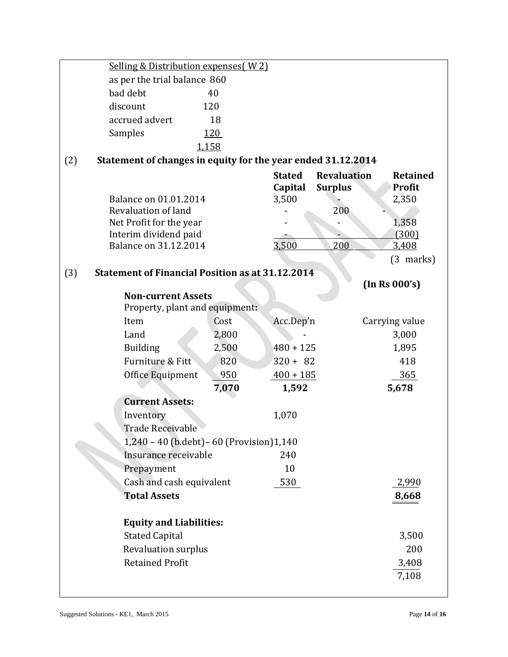|                              | Selling & Distribution expenses (W2)                         |            |                                   |                                      |                                           |  |
|------------------------------|--------------------------------------------------------------|------------|-----------------------------------|--------------------------------------|-------------------------------------------|--|
| as per the trial balance 860 |                                                              |            |                                   |                                      |                                           |  |
|                              | bad debt                                                     | 40         |                                   |                                      |                                           |  |
|                              | discount                                                     | 120        |                                   |                                      |                                           |  |
|                              | accrued advert                                               | 18         |                                   |                                      |                                           |  |
|                              | Samples                                                      | <u>120</u> |                                   |                                      |                                           |  |
|                              |                                                              | 1,158      |                                   |                                      |                                           |  |
| (2)                          | Statement of changes in equity for the year ended 31.12.2014 |            |                                   |                                      |                                           |  |
|                              | Balance on 01.01.2014                                        |            | <b>Stated</b><br>Capital<br>3,500 | <b>Revaluation</b><br><b>Surplus</b> | <b>Retained</b><br><b>Profit</b><br>2,350 |  |
|                              | Revaluation of land                                          |            |                                   | 200                                  |                                           |  |
|                              | Net Profit for the year                                      |            |                                   |                                      | 1,358                                     |  |
|                              | Interim dividend paid                                        |            |                                   |                                      | (300)                                     |  |
|                              | Balance on 31.12.2014                                        |            | 3,500                             | 200                                  | 3,408                                     |  |
|                              |                                                              |            |                                   |                                      | $(3 \text{ marks})$                       |  |
| (3)                          | <b>Statement of Financial Position as at 31.12.2014</b>      |            |                                   |                                      |                                           |  |
|                              |                                                              |            |                                   |                                      | (In Rs 000's)                             |  |
|                              | <b>Non-current Assets</b><br>Property, plant and equipment:  |            |                                   |                                      |                                           |  |
|                              | Item                                                         | Cost       | Acc.Dep'n                         |                                      | Carrying value                            |  |
|                              | Land                                                         | 2,800      |                                   |                                      | 3,000                                     |  |
|                              | <b>Building</b>                                              | 2,500      | $480 + 125$                       |                                      | 1,895                                     |  |
|                              | Furniture & Fitt                                             | 820        | $320 + 82$                        |                                      | 418                                       |  |
|                              | Office Equipment                                             | 950        | $400 + 185$                       |                                      | 365                                       |  |
|                              |                                                              | 7,070      | 1,592                             |                                      | 5,678                                     |  |
|                              | <b>Current Assets:</b>                                       |            |                                   |                                      |                                           |  |
|                              | Inventory                                                    |            | 1,070                             |                                      |                                           |  |
|                              | <b>Trade Receivable</b>                                      |            |                                   |                                      |                                           |  |
|                              | 1,240 - 40 (b.debt) - 60 (Provision) 1,140                   |            |                                   |                                      |                                           |  |
| Insurance receivable         |                                                              |            | 240                               |                                      |                                           |  |
|                              | Prepayment                                                   |            | 10                                |                                      |                                           |  |
|                              | Cash and cash equivalent                                     |            | 530                               |                                      | 2,990                                     |  |
|                              | <b>Total Assets</b>                                          |            |                                   |                                      | 8,668                                     |  |
|                              |                                                              |            |                                   |                                      |                                           |  |
|                              | <b>Equity and Liabilities:</b>                               |            |                                   |                                      |                                           |  |
|                              | <b>Stated Capital</b>                                        |            |                                   |                                      | 3,500                                     |  |
|                              |                                                              |            |                                   |                                      | 200                                       |  |
|                              | Revaluation surplus                                          |            |                                   |                                      |                                           |  |
|                              | <b>Retained Profit</b>                                       |            |                                   |                                      | 3,408                                     |  |
|                              |                                                              |            |                                   |                                      | 7,108                                     |  |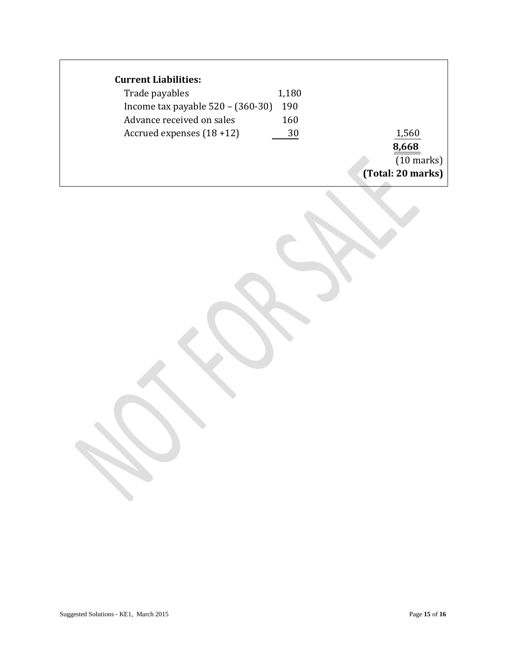# **Current Liabilities:**

| Trade payables                      | 1,180 |                      |
|-------------------------------------|-------|----------------------|
| Income tax payable $520 - (360-30)$ | 190   |                      |
| Advance received on sales           | 160   |                      |
| Accrued expenses $(18+12)$          | 30    | 1,560                |
|                                     |       | 8,668                |
|                                     |       | $(10 \text{ marks})$ |
|                                     |       | (Total: 20 marks)    |
|                                     |       |                      |